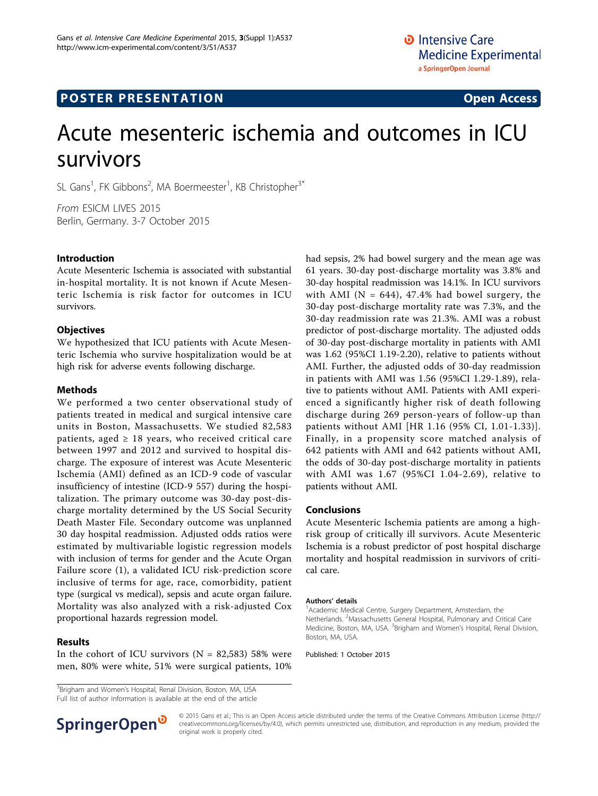# Acute mesenteric ischemia and outcomes in ICU survivors

SL Gans<sup>1</sup>, FK Gibbons<sup>2</sup>, MA Boermeester<sup>1</sup>, KB Christopher<sup>3\*</sup>

From ESICM LIVES 2015 Berlin, Germany. 3-7 October 2015

# Introduction

Acute Mesenteric Ischemia is associated with substantial in-hospital mortality. It is not known if Acute Mesenteric Ischemia is risk factor for outcomes in ICU survivors.

# **Objectives**

We hypothesized that ICU patients with Acute Mesenteric Ischemia who survive hospitalization would be at high risk for adverse events following discharge.

# Methods

We performed a two center observational study of patients treated in medical and surgical intensive care units in Boston, Massachusetts. We studied 82,583 patients, aged  $\geq$  18 years, who received critical care between 1997 and 2012 and survived to hospital discharge. The exposure of interest was Acute Mesenteric Ischemia (AMI) defined as an ICD-9 code of vascular insufficiency of intestine (ICD-9 557) during the hospitalization. The primary outcome was 30-day post-discharge mortality determined by the US Social Security Death Master File. Secondary outcome was unplanned 30 day hospital readmission. Adjusted odds ratios were estimated by multivariable logistic regression models with inclusion of terms for gender and the Acute Organ Failure score (1), a validated ICU risk-prediction score inclusive of terms for age, race, comorbidity, patient type (surgical vs medical), sepsis and acute organ failure. Mortality was also analyzed with a risk-adjusted Cox proportional hazards regression model.

# Results

In the cohort of ICU survivors ( $N = 82,583$ ) 58% were men, 80% were white, 51% were surgical patients, 10%

<sup>3</sup>Brigham and Women's Hospital, Renal Division, Boston, MA, USA Full list of author information is available at the end of the article



### Conclusions

Acute Mesenteric Ischemia patients are among a highrisk group of critically ill survivors. Acute Mesenteric Ischemia is a robust predictor of post hospital discharge mortality and hospital readmission in survivors of critical care.

#### Authors' details <sup>1</sup>

<sup>1</sup> Academic Medical Centre, Surgery Department, Amsterdam, the Netherlands. <sup>2</sup>Massachusetts General Hospital, Pulmonary and Critical Care Medicine, Boston, MA, USA. <sup>3</sup>Brigham and Women's Hospital, Renal Division, Boston, MA, USA.

Published: 1 October 2015



© 2015 Gans et al.; This is an Open Access article distributed under the terms of the Creative Commons Attribution License [\(http://](http://creativecommons.org/licenses/by/4.0) [creativecommons.org/licenses/by/4.0](http://creativecommons.org/licenses/by/4.0)), which permits unrestricted use, distribution, and reproduction in any medium, provided the original work is properly cited.